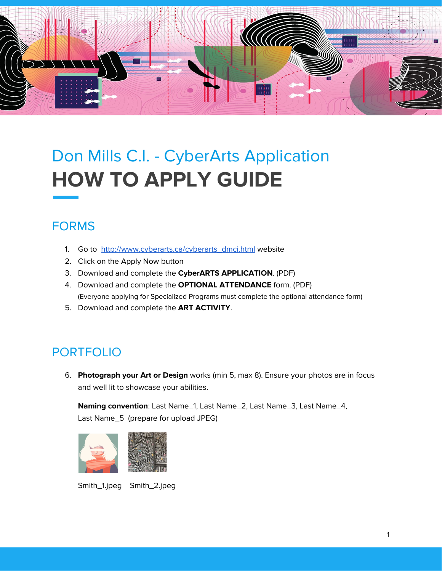

# Don Mills C.I. - CyberArts Application **HOW TO APPLY GUIDE**

## FORMS

- 1. Go to [http://www.cyberarts.ca/cyberarts\\_dmci.html](http://www.cyberarts.ca/cyberarts_dmci.html) website
- 2. Click on the Apply Now button
- 3. Download and complete the **CyberARTS APPLICATION**. (PDF)
- 4. Download and complete the **OPTIONAL ATTENDANCE** form. (PDF) (Everyone applying for Specialized Programs must complete the optional attendance form)
- 5. Download and complete the **ART ACTIVITY**.

## PORTFOLIO

6. **Photograph your Art or Design** works (min 5, max 8). Ensure your photos are in focus and well lit to showcase your abilities.

**Naming convention**: Last Name\_1, Last Name\_2, Last Name\_3, Last Name\_4, Last Name\_5 (prepare for upload JPEG)



Smith\_1.jpeg Smith\_2.jpeg